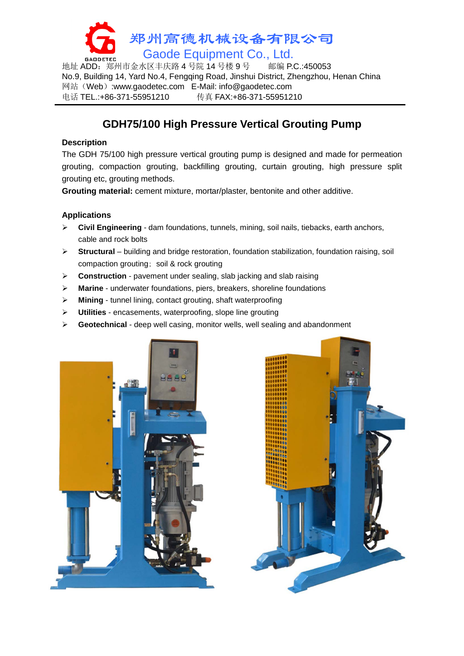

地址 ADD: 郑州市金水区丰庆路 4 号院 14 号楼 9 号 No.9, Building 14, Yard No.4, Fengqing Road, Jinshui District, Zhengzhou, Henan China 网站(Web):www.gaodetec.com E-Mail: info@gaodetec.com 电话 TEL.:+86-371-55951210 传真 FAX:+86-371-55951210

# **GDH75/100 High Pressure Vertical Grouting Pump**

### **Description**

The GDH 75/100 high pressure vertical grouting pump is designed and made for permeation grouting, compaction grouting, backfilling grouting, curtain grouting, high pressure split grouting etc, grouting methods.

**Grouting material:** cement mixture, mortar/plaster, bentonite and other additive.

## **Applications**

- **Civil Engineering** dam foundations, tunnels, mining, soil nails, tiebacks, earth anchors, cable and rock bolts
- **Structural** building and bridge restoration, foundation stabilization, foundation raising, soil compaction grouting; soil & rock grouting
- **Construction** pavement under sealing, slab jacking and slab raising
- **Marine** underwater foundations, piers, breakers, shoreline foundations
- **Mining** tunnel lining, contact grouting, shaft waterproofing
- **Utilities** encasements, waterproofing, slope line grouting
- **Geotechnical** deep well casing, monitor wells, well sealing and abandonment



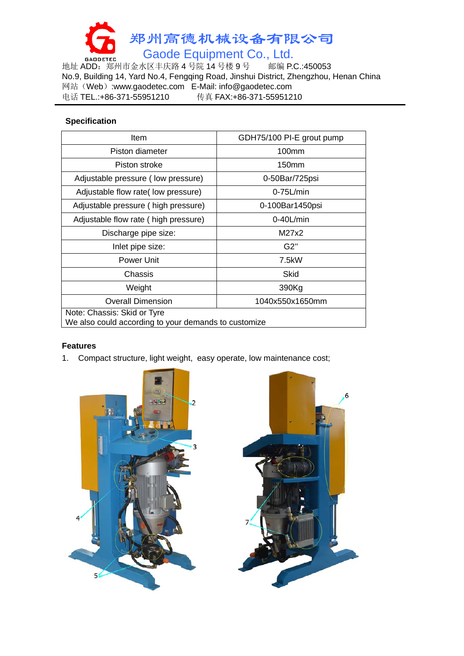

地址 ADD:郑州市金水区丰庆路 4 号院 14 号楼 9 号 邮编 P.C.:450053 No.9, Building 14, Yard No.4, Fengqing Road, Jinshui District, Zhengzhou, Henan China 网站(Web):www.gaodetec.com E-Mail: info@gaodetec.com 电话 TEL.:+86-371-55951210 传真 FAX:+86-371-55951210

### **Specification**

| Item                                                                                | GDH75/100 PI-E grout pump |
|-------------------------------------------------------------------------------------|---------------------------|
| Piston diameter                                                                     | $100$ mm                  |
| Piston stroke                                                                       | 150mm                     |
| Adjustable pressure (low pressure)                                                  | 0-50Bar/725psi            |
| Adjustable flow rate(low pressure)                                                  | $0-75$ L/min              |
| Adjustable pressure (high pressure)                                                 | 0-100Bar1450psi           |
| Adjustable flow rate (high pressure)                                                | $0-40$ L/min              |
| Discharge pipe size:                                                                | M27x2                     |
| Inlet pipe size:                                                                    | G2"                       |
| Power Unit                                                                          | 7.5kW                     |
| Chassis                                                                             | Skid                      |
| Weight                                                                              | 390Kg                     |
| <b>Overall Dimension</b>                                                            | 1040x550x1650mm           |
| Note: Chassis: Skid or Tyre<br>We also could according to your demands to customize |                           |

## **Features**

1. Compact structure, light weight, easy operate, low maintenance cost;

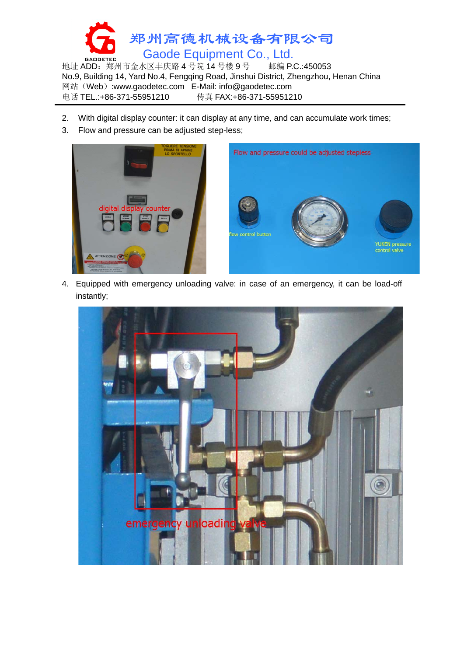

地址 ADD: 郑州市金水区丰庆路 4 号院 14 号楼 9 号 No.9, Building 14, Yard No.4, Fengqing Road, Jinshui District, Zhengzhou, Henan China 网站(Web):www.gaodetec.com E-Mail: info@gaodetec.com 电话 TEL.:+86-371-55951210 传真 FAX:+86-371-55951210

- 2. With digital display counter: it can display at any time, and can accumulate work times;
- 3. Flow and pressure can be adjusted step-less;



4. Equipped with emergency unloading valve: in case of an emergency, it can be load-off instantly;